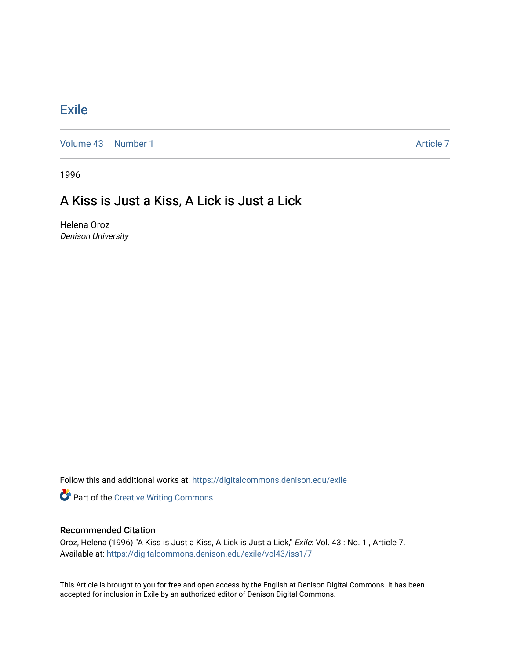## **[Exile](https://digitalcommons.denison.edu/exile)**

[Volume 43](https://digitalcommons.denison.edu/exile/vol43) [Number 1](https://digitalcommons.denison.edu/exile/vol43/iss1) Article 7

1996

## A Kiss is Just a Kiss, A Lick is Just a Lick

Helena Oroz Denison University

Follow this and additional works at: [https://digitalcommons.denison.edu/exile](https://digitalcommons.denison.edu/exile?utm_source=digitalcommons.denison.edu%2Fexile%2Fvol43%2Fiss1%2F7&utm_medium=PDF&utm_campaign=PDFCoverPages) 

**Part of the Creative Writing Commons** 

## Recommended Citation

Oroz, Helena (1996) "A Kiss is Just a Kiss, A Lick is Just a Lick," Exile: Vol. 43 : No. 1 , Article 7. Available at: [https://digitalcommons.denison.edu/exile/vol43/iss1/7](https://digitalcommons.denison.edu/exile/vol43/iss1/7?utm_source=digitalcommons.denison.edu%2Fexile%2Fvol43%2Fiss1%2F7&utm_medium=PDF&utm_campaign=PDFCoverPages) 

This Article is brought to you for free and open access by the English at Denison Digital Commons. It has been accepted for inclusion in Exile by an authorized editor of Denison Digital Commons.